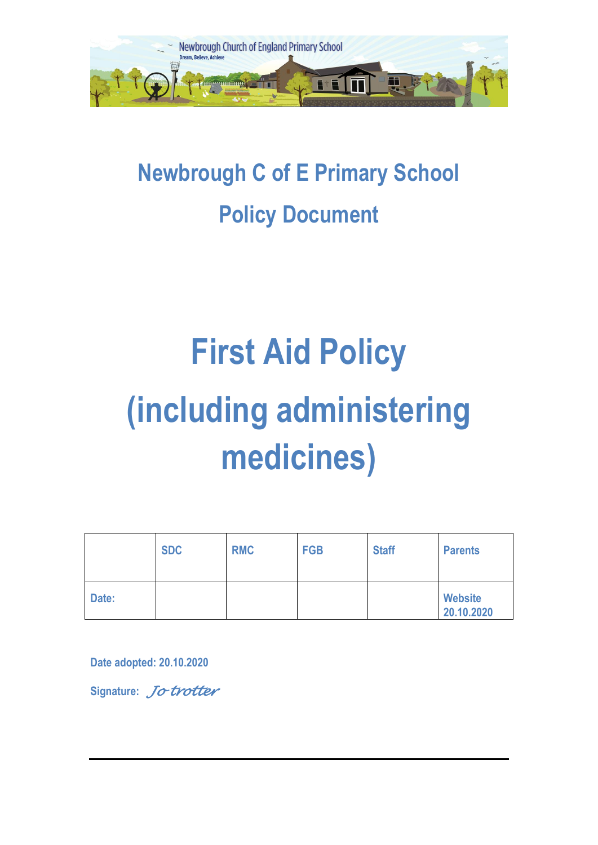

# **Newbrough C of E Primary School Policy Document**

# **First Aid Policy (including administering medicines)**

|       | <b>SDC</b> | <b>RMC</b> | <b>FGB</b> | <b>Staff</b> | <b>Parents</b>               |
|-------|------------|------------|------------|--------------|------------------------------|
| Date: |            |            |            |              | <b>Website</b><br>20.10.2020 |

**Date adopted: 20.10.2020**

**Signature:** *Jo trotter*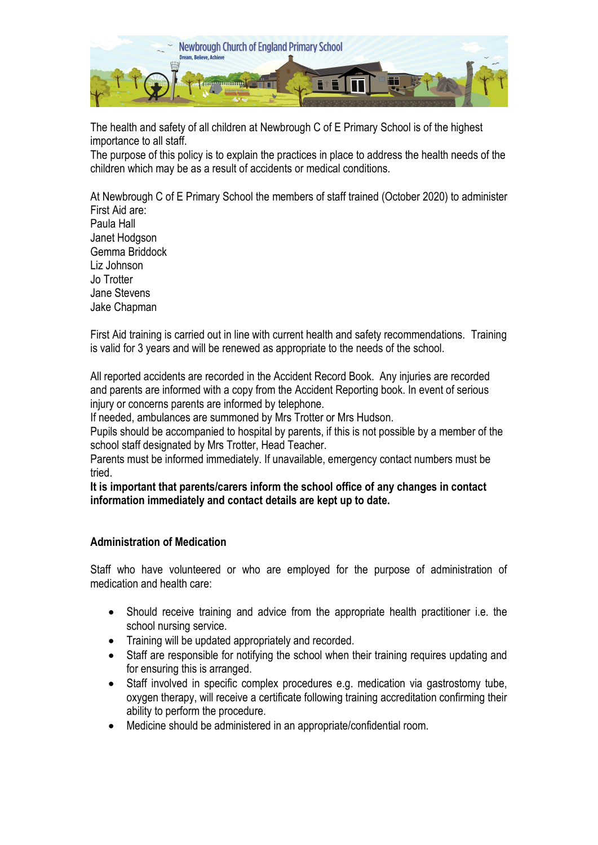

The health and safety of all children at Newbrough C of E Primary School is of the highest importance to all staff.

The purpose of this policy is to explain the practices in place to address the health needs of the children which may be as a result of accidents or medical conditions.

At Newbrough C of E Primary School the members of staff trained (October 2020) to administer First Aid are: Paula Hall Janet Hodgson Gemma Briddock Liz Johnson Jo Trotter Jane Stevens Jake Chapman

First Aid training is carried out in line with current health and safety recommendations. Training is valid for 3 years and will be renewed as appropriate to the needs of the school.

All reported accidents are recorded in the Accident Record Book. Any injuries are recorded and parents are informed with a copy from the Accident Reporting book. In event of serious injury or concerns parents are informed by telephone.

If needed, ambulances are summoned by Mrs Trotter or Mrs Hudson.

Pupils should be accompanied to hospital by parents, if this is not possible by a member of the school staff designated by Mrs Trotter, Head Teacher.

Parents must be informed immediately. If unavailable, emergency contact numbers must be tried.

**It is important that parents/carers inform the school office of any changes in contact information immediately and contact details are kept up to date.**

#### **Administration of Medication**

Staff who have volunteered or who are employed for the purpose of administration of medication and health care:

- Should receive training and advice from the appropriate health practitioner i.e. the school nursing service.
- Training will be updated appropriately and recorded.
- Staff are responsible for notifying the school when their training requires updating and for ensuring this is arranged.
- Staff involved in specific complex procedures e.g. medication via gastrostomy tube, oxygen therapy, will receive a certificate following training accreditation confirming their ability to perform the procedure.
- Medicine should be administered in an appropriate/confidential room.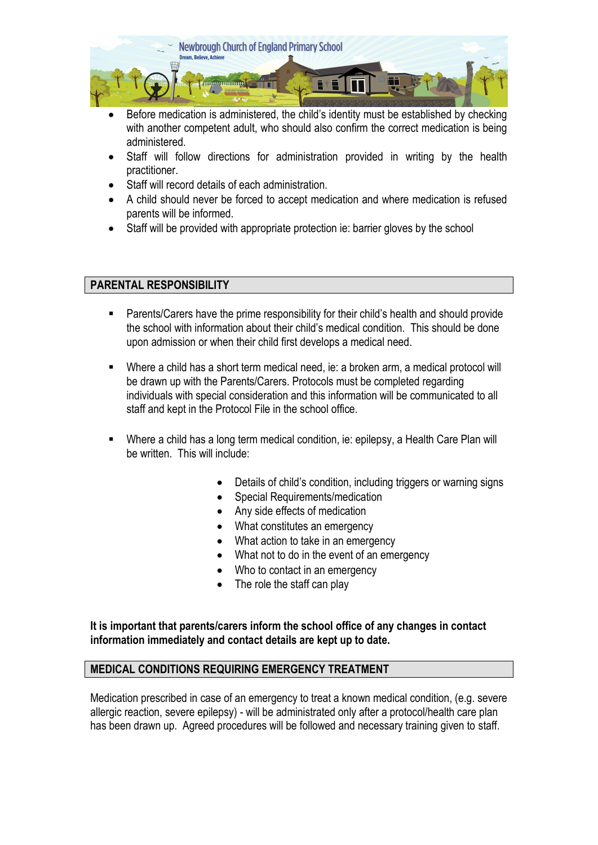

- Before medication is administered, the child's identity must be established by checking with another competent adult, who should also confirm the correct medication is being administered.
- Staff will follow directions for administration provided in writing by the health practitioner.
- Staff will record details of each administration.
- A child should never be forced to accept medication and where medication is refused parents will be informed.
- Staff will be provided with appropriate protection ie: barrier gloves by the school

#### **PARENTAL RESPONSIBILITY**

- Parents/Carers have the prime responsibility for their child's health and should provide the school with information about their child's medical condition. This should be done upon admission or when their child first develops a medical need.
- Where a child has a short term medical need, ie: a broken arm, a medical protocol will be drawn up with the Parents/Carers. Protocols must be completed regarding individuals with special consideration and this information will be communicated to all staff and kept in the Protocol File in the school office.
- Where a child has a long term medical condition, ie: epilepsy, a Health Care Plan will be written. This will include:
	- Details of child's condition, including triggers or warning signs
	- Special Requirements/medication
	- Any side effects of medication
	- What constitutes an emergency
	- What action to take in an emergency
	- What not to do in the event of an emergency
	- Who to contact in an emergency
	- The role the staff can play

**It is important that parents/carers inform the school office of any changes in contact information immediately and contact details are kept up to date.**

#### **MEDICAL CONDITIONS REQUIRING EMERGENCY TREATMENT**

Medication prescribed in case of an emergency to treat a known medical condition, (e.g. severe allergic reaction, severe epilepsy) - will be administrated only after a protocol/health care plan has been drawn up. Agreed procedures will be followed and necessary training given to staff.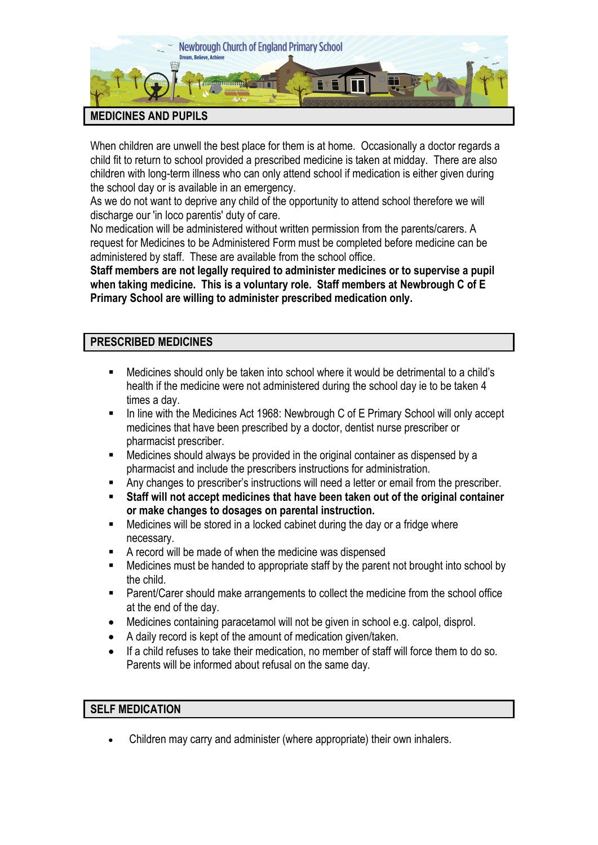

When children are unwell the best place for them is at home. Occasionally a doctor regards a child fit to return to school provided a prescribed medicine is taken at midday. There are also children with long-term illness who can only attend school if medication is either given during the school day or is available in an emergency.

As we do not want to deprive any child of the opportunity to attend school therefore we will discharge our 'in loco parentis' duty of care.

No medication will be administered without written permission from the parents/carers. A request for Medicines to be Administered Form must be completed before medicine can be administered by staff. These are available from the school office.

**Staff members are not legally required to administer medicines or to supervise a pupil when taking medicine. This is a voluntary role. Staff members at Newbrough C of E Primary School are willing to administer prescribed medication only.**

## **PRESCRIBED MEDICINES**

- Medicines should only be taken into school where it would be detrimental to a child's health if the medicine were not administered during the school day ie to be taken 4 times a day.
- In line with the Medicines Act 1968: Newbrough C of E Primary School will only accept medicines that have been prescribed by a doctor, dentist nurse prescriber or pharmacist prescriber.
- Medicines should always be provided in the original container as dispensed by a pharmacist and include the prescribers instructions for administration.
- Any changes to prescriber's instructions will need a letter or email from the prescriber.
- **Staff will not accept medicines that have been taken out of the original container or make changes to dosages on parental instruction.**
- Medicines will be stored in a locked cabinet during the day or a fridge where necessary.
- A record will be made of when the medicine was dispensed
- Medicines must be handed to appropriate staff by the parent not brought into school by the child.
- Parent/Carer should make arrangements to collect the medicine from the school office at the end of the day.
- Medicines containing paracetamol will not be given in school e.g. calpol, disprol.
- A daily record is kept of the amount of medication given/taken.
- If a child refuses to take their medication, no member of staff will force them to do so. Parents will be informed about refusal on the same day.

#### **SELF MEDICATION**

Children may carry and administer (where appropriate) their own inhalers.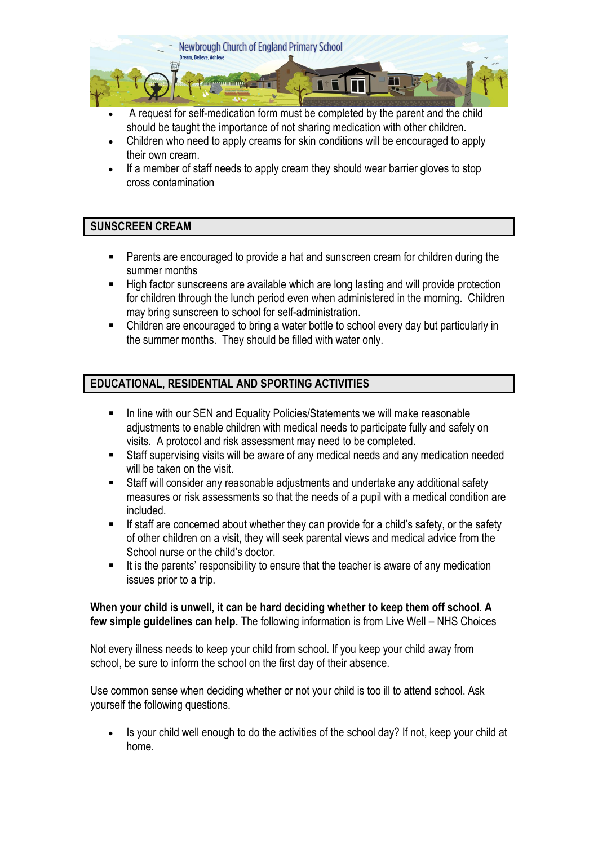

- A request for self-medication form must be completed by the parent and the child should be taught the importance of not sharing medication with other children.
- Children who need to apply creams for skin conditions will be encouraged to apply their own cream.
- If a member of staff needs to apply cream they should wear barrier gloves to stop cross contamination

## **SUNSCREEN CREAM**

- Parents are encouraged to provide a hat and sunscreen cream for children during the summer months
- High factor sunscreens are available which are long lasting and will provide protection for children through the lunch period even when administered in the morning. Children may bring sunscreen to school for self-administration.
- Children are encouraged to bring a water bottle to school every day but particularly in the summer months. They should be filled with water only.

# **EDUCATIONAL, RESIDENTIAL AND SPORTING ACTIVITIES**

- In line with our SEN and Equality Policies/Statements we will make reasonable adjustments to enable children with medical needs to participate fully and safely on visits. A protocol and risk assessment may need to be completed.
- Staff supervising visits will be aware of any medical needs and any medication needed will be taken on the visit.
- Staff will consider any reasonable adjustments and undertake any additional safety measures or risk assessments so that the needs of a pupil with a medical condition are included.
- If staff are concerned about whether they can provide for a child's safety, or the safety of other children on a visit, they will seek parental views and medical advice from the School nurse or the child's doctor.
- It is the parents' responsibility to ensure that the teacher is aware of any medication issues prior to a trip.

#### **When your child is unwell, it can be hard deciding whether to keep them off school. A few simple guidelines can help.** The following information is from Live Well – NHS Choices

Not every illness needs to keep your child from school. If you keep your child away from school, be sure to inform the school on the first day of their absence.

Use common sense when deciding whether or not your child is too ill to attend school. Ask yourself the following questions.

 Is your child well enough to do the activities of the school day? If not, keep your child at home.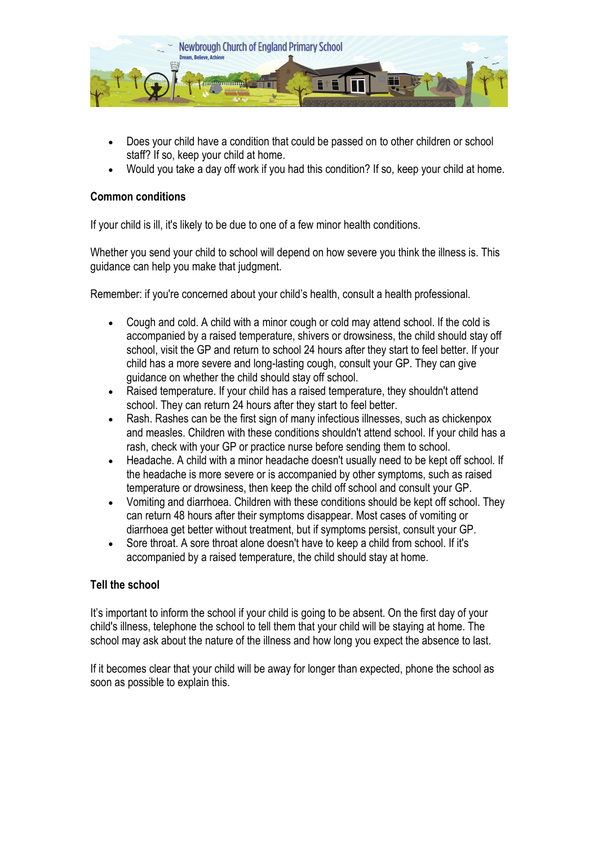

- Does your child have a condition that could be passed on to other children or school staff? If so, keep your child at home.
- Would you take a day off work if you had this condition? If so, keep your child at home.

#### **Common conditions**

If your child is ill, it's likely to be due to one of a few minor health conditions.

Whether you send your child to school will depend on how severe you think the illness is. This guidance can help you make that judgment.

Remember: if you're concerned about your child's health, consult a health professional.

- Cough and cold. A child with a minor cough or cold may attend school. If the cold is accompanied by a raised temperature, shivers or drowsiness, the child should stay off school, visit the GP and return to school 24 hours after they start to feel better. If your child has a more severe and long-lasting cough, consult your GP. They can give guidance on whether the child should stay off school.
- Raised temperature. If your child has a raised temperature, they shouldn't attend school. They can return 24 hours after they start to feel better.
- Rash. Rashes can be the first sign of many infectious illnesses, such as chickenpox and measles. Children with these conditions shouldn't attend school. If your child has a rash, check with your GP or practice nurse before sending them to school.
- Headache. A child with a minor headache doesn't usually need to be kept off school. If the headache is more severe or is accompanied by other symptoms, such as raised temperature or drowsiness, then keep the child off school and consult your GP.
- Vomiting and diarrhoea. Children with these conditions should be kept off school. They can return 48 hours after their symptoms disappear. Most cases of vomiting or diarrhoea get better without treatment, but if symptoms persist, consult your GP.
- Sore throat. A sore throat alone doesn't have to keep a child from school. If it's accompanied by a raised temperature, the child should stay at home.

#### **Tell the school**

It's important to inform the school if your child is going to be absent. On the first day of your child's illness, telephone the school to tell them that your child will be staying at home. The school may ask about the nature of the illness and how long you expect the absence to last.

If it becomes clear that your child will be away for longer than expected, phone the school as soon as possible to explain this.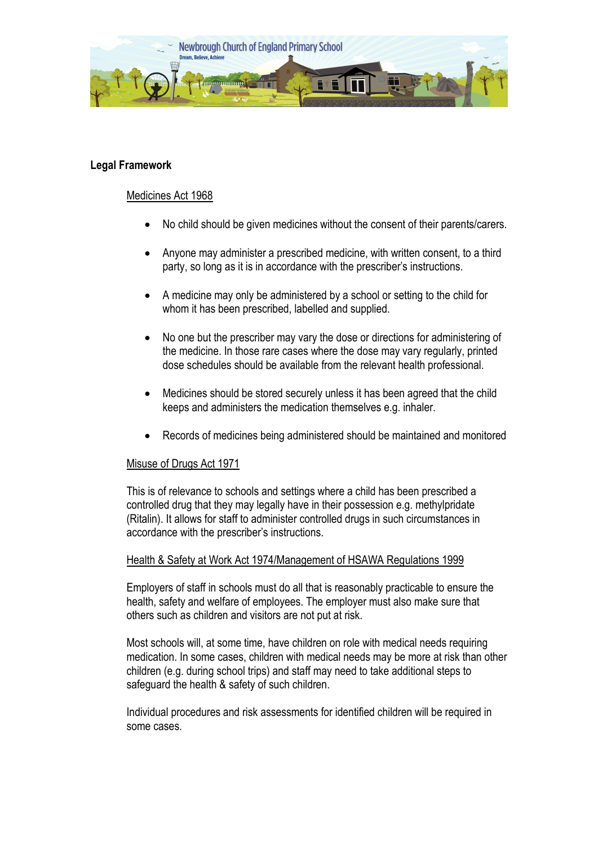

#### **Legal Framework**

#### Medicines Act 1968

- No child should be given medicines without the consent of their parents/carers.
- Anyone may administer a prescribed medicine, with written consent, to a third party, so long as it is in accordance with the prescriber's instructions.
- A medicine may only be administered by a school or setting to the child for whom it has been prescribed, labelled and supplied.
- No one but the prescriber may vary the dose or directions for administering of the medicine. In those rare cases where the dose may vary regularly, printed dose schedules should be available from the relevant health professional.
- Medicines should be stored securely unless it has been agreed that the child keeps and administers the medication themselves e.g. inhaler.
- Records of medicines being administered should be maintained and monitored

#### Misuse of Drugs Act 1971

This is of relevance to schools and settings where a child has been prescribed a controlled drug that they may legally have in their possession e.g. methylpridate (Ritalin). It allows for staff to administer controlled drugs in such circumstances in accordance with the prescriber's instructions.

#### Health & Safety at Work Act 1974/Management of HSAWA Regulations 1999

Employers of staff in schools must do all that is reasonably practicable to ensure the health, safety and welfare of employees. The employer must also make sure that others such as children and visitors are not put at risk.

Most schools will, at some time, have children on role with medical needs requiring medication. In some cases, children with medical needs may be more at risk than other children (e.g. during school trips) and staff may need to take additional steps to safeguard the health & safety of such children.

Individual procedures and risk assessments for identified children will be required in some cases.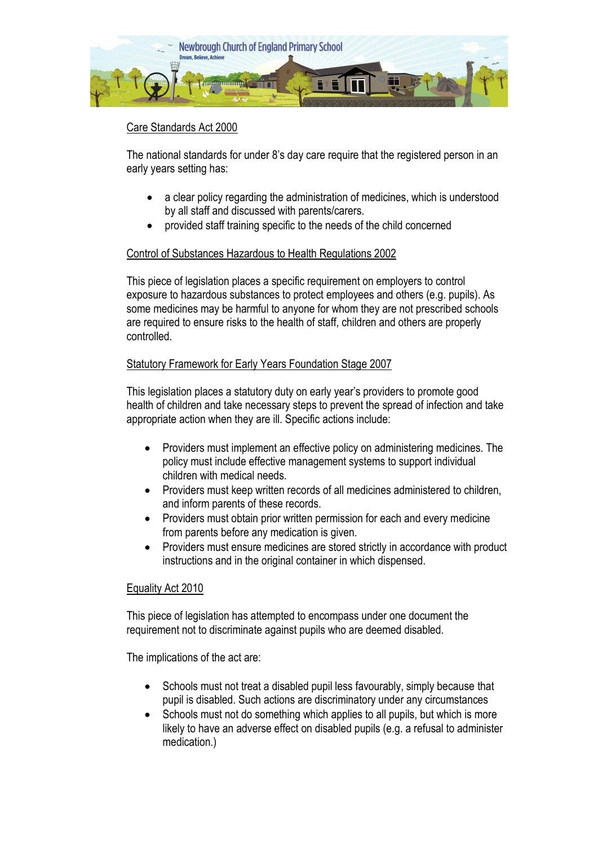

# Care Standards Act 2000

The national standards for under 8's day care require that the registered person in an early years setting has:

- a clear policy regarding the administration of medicines, which is understood by all staff and discussed with parents/carers.
- provided staff training specific to the needs of the child concerned

#### Control of Substances Hazardous to Health Regulations 2002

This piece of legislation places a specific requirement on employers to control exposure to hazardous substances to protect employees and others (e.g. pupils). As some medicines may be harmful to anyone for whom they are not prescribed schools are required to ensure risks to the health of staff, children and others are properly controlled.

#### Statutory Framework for Early Years Foundation Stage 2007

This legislation places a statutory duty on early year's providers to promote good health of children and take necessary steps to prevent the spread of infection and take appropriate action when they are ill. Specific actions include:

- Providers must implement an effective policy on administering medicines. The policy must include effective management systems to support individual children with medical needs.
- Providers must keep written records of all medicines administered to children, and inform parents of these records.
- Providers must obtain prior written permission for each and every medicine from parents before any medication is given.
- Providers must ensure medicines are stored strictly in accordance with product instructions and in the original container in which dispensed.

#### Equality Act 2010

This piece of legislation has attempted to encompass under one document the requirement not to discriminate against pupils who are deemed disabled.

The implications of the act are:

- Schools must not treat a disabled pupil less favourably, simply because that pupil is disabled. Such actions are discriminatory under any circumstances
- Schools must not do something which applies to all pupils, but which is more likely to have an adverse effect on disabled pupils (e.g. a refusal to administer medication.)